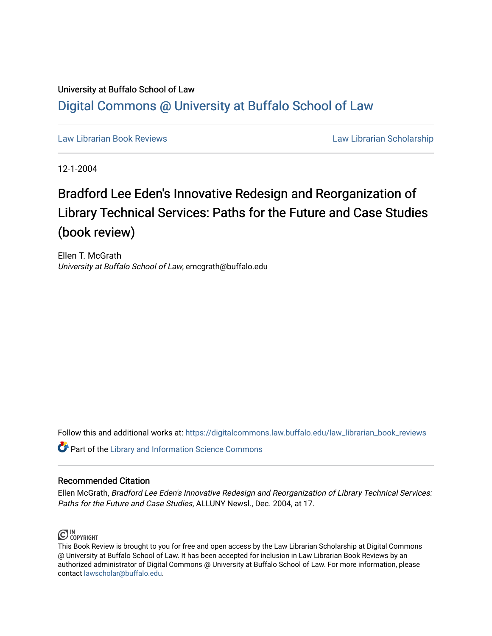## University at Buffalo School of Law [Digital Commons @ University at Buffalo School of Law](https://digitalcommons.law.buffalo.edu/)

[Law Librarian Book Reviews](https://digitalcommons.law.buffalo.edu/law_librarian_book_reviews) Law Librarian Scholarship

12-1-2004

# Bradford Lee Eden's Innovative Redesign and Reorganization of Library Technical Services: Paths for the Future and Case Studies (book review)

Ellen T. McGrath University at Buffalo School of Law, emcgrath@buffalo.edu

Follow this and additional works at: [https://digitalcommons.law.buffalo.edu/law\\_librarian\\_book\\_reviews](https://digitalcommons.law.buffalo.edu/law_librarian_book_reviews?utm_source=digitalcommons.law.buffalo.edu%2Flaw_librarian_book_reviews%2F9&utm_medium=PDF&utm_campaign=PDFCoverPages) 

**Part of the Library and Information Science Commons** 

#### Recommended Citation

Ellen McGrath, Bradford Lee Eden's Innovative Redesign and Reorganization of Library Technical Services: Paths for the Future and Case Studies, ALLUNY Newsl., Dec. 2004, at 17.



This Book Review is brought to you for free and open access by the Law Librarian Scholarship at Digital Commons @ University at Buffalo School of Law. It has been accepted for inclusion in Law Librarian Book Reviews by an authorized administrator of Digital Commons @ University at Buffalo School of Law. For more information, please contact [lawscholar@buffalo.edu.](mailto:lawscholar@buffalo.edu)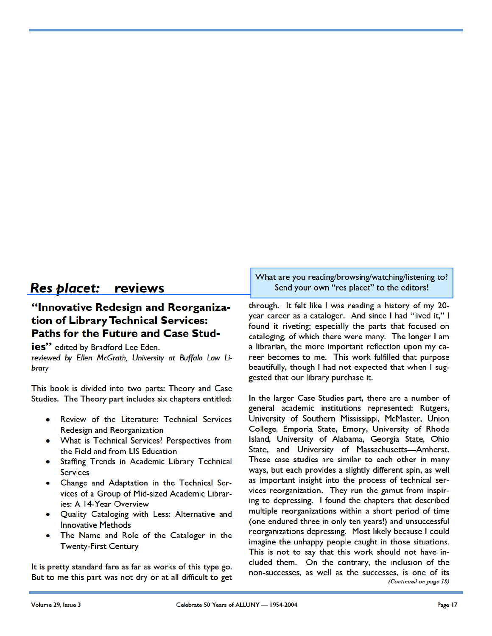## **Res** *olacet:* **reviews**

### **"Innovative Redesign and Reorganization of LibraryTechnical Services: Paths for the Future and Case Stud-**

**ies"** edited by Bradford Lee Eden.

*reviewed* by *Bien McGrath, University at Buffalo Law* U*brary* 

This book is divided into two parts: Theory and Case Studies. The Theory part includes six chapters entitled:

- Review of the Literature: Technical Services Redesign and Reorganization
- What is Technical Services? Perspectives from the Field and from LIS Education
- Staffing Trends in Academic Library Technical **Services**
- Change and Adaptation in the Technical Services of a Group of Mid-sized Academic Libraries: A 14-Year Overview
- Quality Cataloging with Less: Alternative and Innovative Methods
- The Name and Role of the Cataloger in the Twenty-First Century

It is pretty standard fare as far as works of this type go. But to me this part was not dry or at all difficult to get What are you reading/browsing/watching/listening to? Send your own "res placet'' to the editors!

through. It felt like I was reading a history of my 20 year career as a cataloger. And since I had "lived it," I found it riveting; especially the parts that focused on cataloging, of which there were many. The longer I am a librarian, the more important reflection upon my career becomes to me. This work fulfilled that purpose beautifully, though I had not expected that when I suggested that our library purchase it.

In the larger Case Studies part, there are a number of general academic institutions represented: Rutgers, University of Southern Mississippi, McMaster, Union College, Emporia State, Emory, University of Rhode Island, University of Alabama, Georgia State, Ohio State, and University of Massachusetts- Amherst. These case studies are similar to each other in many ways, but each provides a slightly different spin, as well as important insight into the process of technical services reorganization. They run the gamut from inspiring to depressing. I found the chapters that described multiple reorganizations within a short period of time (one endured three in only ten years!) and unsuccessful reorganizations depressing. Most likely because I could imagine the unhappy people caught in those situations. This is not to say that this work should not have included them. On the contrary, the inclusion of the non-successes, as well as the successes, is one of its *(Continued on page 18)*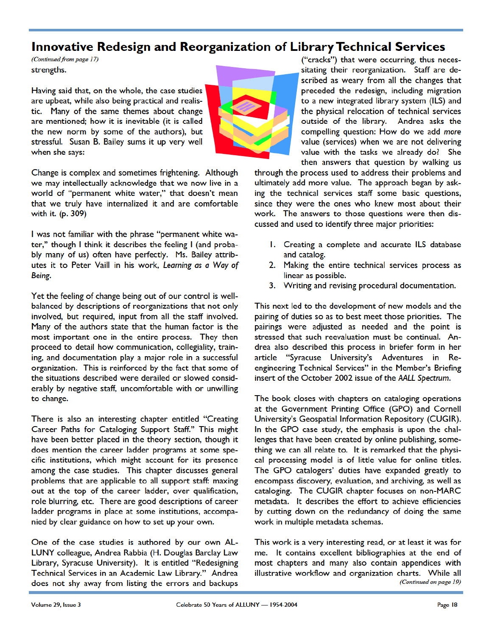### **Innovative Redesign and Reorganization of LibraryTechnical Services**

*(Continued from page 17)*  strengths.

Having said that, on the whole, the case studies are upbeat, while also being practical and realistic. Many of the same themes about change are mentioned; how it is inevitable (it is called the new norm by some of the authors), but stressful. Susan B. Bailey sums it up very well when she says:



Change is complex and sometimes frightening. Although we may intellectually acknowledge that we now live in a world of "permanent white water," that doesn't mean that we truly have internalized it and are comfortable with it. (p. 309)

I was not familiar with the phrase "permanent white water," though I think it describes the feeling I (and probably many of us) often have perfectly. Ms. Bailey attributes it to Peter Vaill in his work, *Learning as a Way of Being.* 

Yet the feeling of change being out of our control is wellbalanced by descriptions of reorganizations that not only involved, but required, input from all the staff involved. Many of the authors state that the human factor is the most important one in the entire process. They then proceed to detail how communication, collegiality, training, and documentation play a major role in a successful organization. This is reinforced by the fact that some of the situations described were derailed or slowed considerably by negative staff, uncomfortable with or unwilling to change.

There is also an interesting chapter entitled "Creating Career Paths for Cataloging Support Staff." This might have been better placed in the theory section, though it does mention the career ladder programs at some specific institutions, which might account for its presence among the case studies. This chapter discusses general problems that are applicable to all support staff: maxing out at the top of the career ladder, over qualification, role blurring, etc. There are good descriptions of career ladder programs in place at some institutions, accompanied by clear guidance on how to set up your own.

One of the case studies is authored by our own AL-LUNY colleague, Andrea Rabbia (H. Douglas Barclay Law Library, Syracuse University). It is entitled "Redesigning Technical Services in an Academic Law Library." Andrea does not shy away from listing the errors and backups

("cracks") that were occurring, thus necessitating their reorganization. Staff are described as weary from all the changes that preceded the redesign, including migration to a new integrated library system (ILS) and the physical relocation of technical services outside of the library. Andrea asks the compelling question: How do we add more value (services) when we are not delivering value with the tasks we already do? She then answers that question by walking us

through the process used to address their problems and ultimately add more value. The approach began by asking the technical services staff some basic questions, since they were the ones who knew most about their work. The answers to those questions were then discussed and used to identify three major priorities:

- I. Creating a complete and accurate ILS database and catalog.
- 2. Making the entire technical services process as linear as possible.
- 3. Writing and revising procedural documentation.

This next led to the development of new models and the pairing of duties so as to best meet those priorities. The pairings were adjusted as needed and the point is stressed that such reevaluation must be continual. Andrea also described this process in briefer form in her article "Syracuse University's Adventures in Reengineering Technical Services" in the Member's Briefing insert of the October 2002 issue of the AALL Spectrum.

The book closes with chapters on cataloging operations at the Government Printing Office (GPO) and Cornell University's Geospatial Information Repository (CUGIR). In the GPO case study, the emphasis is upon the challenges that have been created by online publishing, something we can all relate to. It is remarked that the physical processing model is of little value for online titles. The GPO catalogers' duties have expanded greatly to encompass discovery, evaluation, and archiving, as well as cataloging. The CUGIR chapter focuses on non-MARC metadata. It describes the effort to achieve efficiencies by cutting down on the redundancy of doing the same work in multiple metadata schemas.

This work is a very interesting read, or at least it was for me. It contains excellent bibliographies at the end of most chapters and many also contain appendices with illustrative workflow and organization charts. While all *(Continued on page 19)*